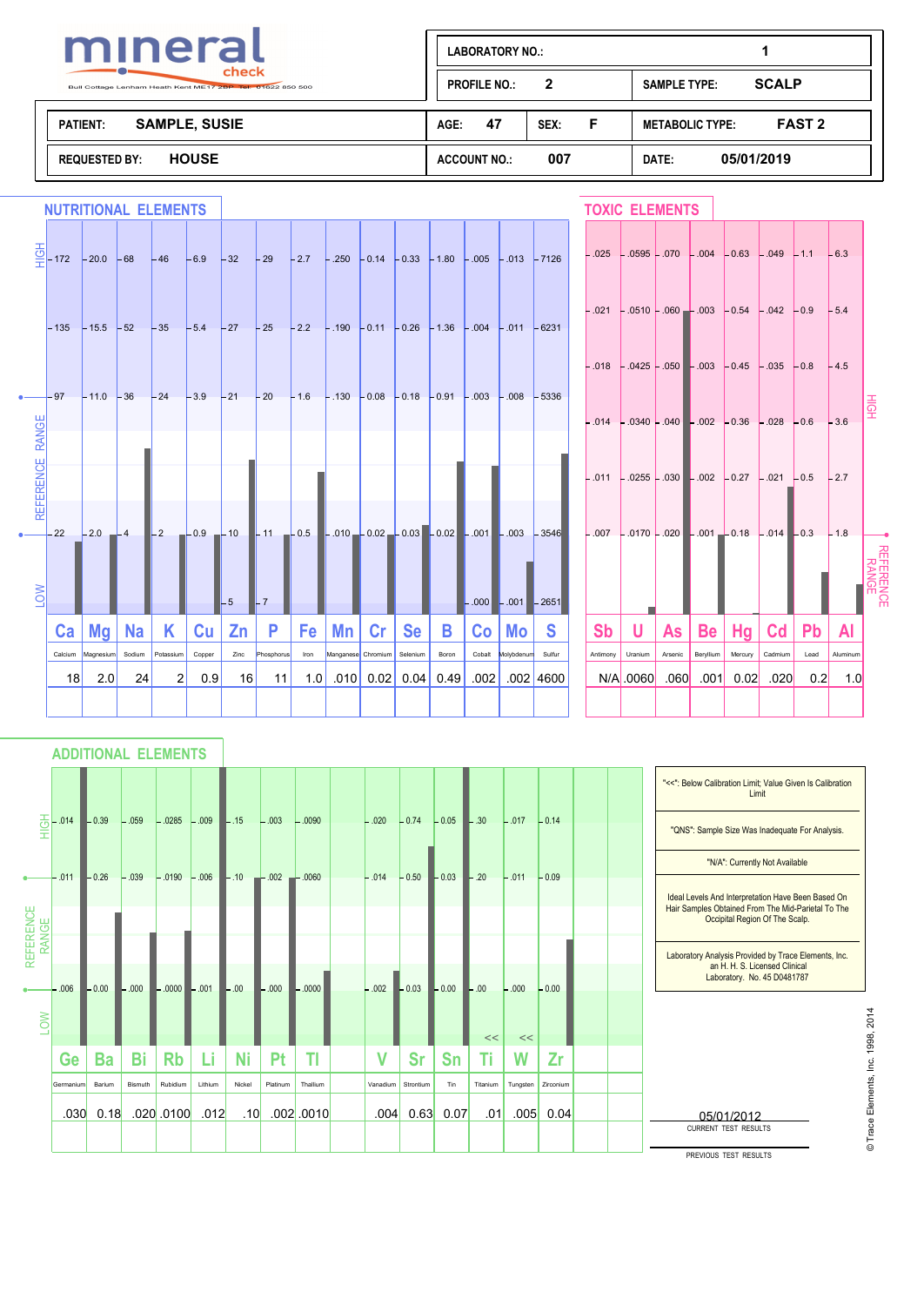

| mineral                                                                       | <b>LABORATORY NO.:</b>     |                                         |  |  |
|-------------------------------------------------------------------------------|----------------------------|-----------------------------------------|--|--|
| check<br>$\sim$<br>Bull Cottage Lenham Heath Kent ME17 2BP Tel: 01622 850 500 | 2<br><b>PROFILE NO.:</b>   | <b>SCALP</b><br><b>SAMPLE TYPE:</b>     |  |  |
| <b>SAMPLE, SUSIE</b><br><b>PATIENT:</b>                                       | 47<br>AGE:<br>SEX:         | <b>FAST 2</b><br><b>METABOLIC TYPE:</b> |  |  |
| <b>HOUSE</b><br><b>REQUESTED BY:</b>                                          | 007<br><b>ACCOUNT NO.:</b> | 05/01/2019<br>DATE:                     |  |  |

|                   | <b>NUTRITIONAL ELEMENTS</b>                                                                                         |                                                                                                      |           |                             |                 |                        |                  |             |    |                                             |           |       |                |                         |                                                                                                                                                                   |           |                     | <b>TOXIC ELEMENTS</b> |                   |                                                                   |                 |             |                 |   |
|-------------------|---------------------------------------------------------------------------------------------------------------------|------------------------------------------------------------------------------------------------------|-----------|-----------------------------|-----------------|------------------------|------------------|-------------|----|---------------------------------------------|-----------|-------|----------------|-------------------------|-------------------------------------------------------------------------------------------------------------------------------------------------------------------|-----------|---------------------|-----------------------|-------------------|-------------------------------------------------------------------|-----------------|-------------|-----------------|---|
|                   | $\overline{\frac{6}{5}}$ - 172 - 20.0 - 68 - 46 - 6.9 - 32 - 29 - 2.7 - 250 - 0.14 - 0.33 - 1.80 - 005 - 013 - 7126 |                                                                                                      |           |                             |                 |                        |                  |             |    |                                             |           |       |                |                         |                                                                                                                                                                   |           |                     |                       |                   | $-.025$ $-.0595$ $-.070$ $-.004$ $-.063$ $-.049$ $-.11$ $-.63$    |                 |             |                 |   |
|                   | $-135$ $-15.5$ $-52$ $-35$ $-5.4$ $-27$ $-25$ $-2.2$ $-190$ $-0.11$ $-0.26$ $-1.36$ $-004$ $-011$ $-6231$           |                                                                                                      |           |                             |                 |                        |                  |             |    |                                             |           |       |                |                         |                                                                                                                                                                   |           |                     |                       |                   | $-.021$ - 0510 - 060 - 003 - 0.54 - 042 - 0.9 - 5.4               |                 |             |                 |   |
| $\bullet$ $  97$  |                                                                                                                     | $-11.0$ $-36$ $-24$ $-3.9$ $-21$ $-20$ $-1.6$ $-130$ $-0.08$ $-0.18$ $-0.91$ $-0.03$ $-0.08$ $-5336$ |           |                             |                 |                        |                  |             |    |                                             |           |       |                |                         |                                                                                                                                                                   |           |                     |                       |                   | $-.018$ - 0425 - 050 - 003 - 0.45 - 0.35 - 0.8 - 4.5              |                 |             |                 |   |
|                   |                                                                                                                     |                                                                                                      |           |                             |                 |                        |                  |             |    |                                             |           |       |                |                         |                                                                                                                                                                   |           |                     |                       |                   | $-.014$ $-.0340$ $-.040$ $-.002$ $-.0.36$ $-.028$ $-.0.6$ $-.3.6$ |                 |             |                 | 훞 |
| <b>REFERENC</b>   |                                                                                                                     |                                                                                                      |           |                             |                 |                        |                  |             |    |                                             |           |       |                |                         |                                                                                                                                                                   |           |                     |                       |                   | $-.011$ $-.0255$ $-.030$ $-.002$ $-.0.27$ $-.021$ $-.0.5$         |                 |             | $-2.7$          |   |
| $\bullet$ $ -$ 22 |                                                                                                                     |                                                                                                      |           |                             |                 |                        |                  |             |    |                                             |           |       |                |                         | $-2.0$ $-4$ $-2$ $-0.9$ $-10$ $-11$ $-0.5$ $-0.02$ $-0.02$ $-0.03$ $-0.02$ $-0.01$ $-0.03$ $-3546$ $-0.07$ $-0.07$ $-0.07$ $-0.001$ $-0.18$ $-0.14$ $-0.3$ $-1.8$ |           |                     |                       |                   |                                                                   |                 |             |                 |   |
| NO-               |                                                                                                                     |                                                                                                      |           |                             |                 | $-5$<br>$\blacksquare$ |                  |             |    |                                             |           |       |                | $-.000$ $-.001$ $-2651$ |                                                                                                                                                                   |           |                     |                       |                   |                                                                   |                 |             |                 |   |
|                   |                                                                                                                     | $Ca \mid Mg \mid$                                                                                    | Na        | K.                          | Cu <sub>1</sub> | Zn                     | P                | Fe          | Mn | Cr                                          | <b>Se</b> | B     |                | Co   Mo                 | <b>S</b>                                                                                                                                                          | <b>Sb</b> | U                   | As                    | <b>Be</b>         | Hg                                                                | <b>Cd</b>       | <b>Pb</b>   | Al              |   |
|                   | 18                                                                                                                  | Calcium Magnesium Sodium<br>2.0                                                                      | <b>24</b> | Potassium<br>$\overline{2}$ | Copper<br>0.9   | Zinc<br>16 I           | Phosphorus<br>11 | Iron<br>1.0 |    | Manganese Chromium<br>$.010$ 0.02 0.04 0.49 | Selenium  | Boron | Cobalt<br>.002 | Molybdenum              | Sulfur<br>.002 4600                                                                                                                                               | Antimony  | Uranium<br>N/A 0060 | Arsenic<br>.060       | Beryllium<br>.001 | Mercury<br>0.02                                                   | Cadmium<br>.020 | Lead<br>0.2 | Aluminum<br>1.0 |   |
|                   |                                                                                                                     |                                                                                                      |           |                             |                 |                        |                  |             |    |                                             |           |       |                |                         |                                                                                                                                                                   |           |                     |                       |                   |                                                                   |                 |             |                 |   |

# **ADDITIONAL ELEMENTS**

|                    |                   |         |          |              |         |                  |          |              |          |           |           |                    |          |           |  | "<<": Below Calibration Limit; Value Given Is Calibration<br>Limit                                                                         |
|--------------------|-------------------|---------|----------|--------------|---------|------------------|----------|--------------|----------|-----------|-----------|--------------------|----------|-----------|--|--------------------------------------------------------------------------------------------------------------------------------------------|
| 掌                  | .014              | $-0.39$ | $-.059$  | $-.0285$     | $-.009$ | $-.15$           | $-.003$  | $-.0090$     | $-.020$  | $-0.74$   | $-0.05$   | $\vert\vert$ - .30 | $-.017$  | $-0.14$   |  | "QNS": Sample Size Was Inadequate For Analysis.                                                                                            |
|                    |                   |         |          |              |         |                  |          |              |          |           |           |                    |          |           |  | "N/A": Currently Not Available                                                                                                             |
| REFERENCE<br>RANGE | $-.011$           | $-0.26$ | $-.039$  | $-.0190$     | $-.006$ | $-.10 - .002$    |          | $-0060$      | $-.014$  | $-0.50$   | $-0.03$   | $-.20$             | $-.011$  | $-0.09$   |  | Ideal Levels And Interpretation Have Been Based On<br>Hair Samples Obtained From The Mid-Parietal To The<br>Occipital Region Of The Scalp. |
|                    |                   |         |          |              |         |                  |          |              |          |           |           |                    |          |           |  | Laboratory Analysis Provided by Trace Elements, Inc.                                                                                       |
|                    | .006              | $-0.00$ | $-0.000$ | $-0.000$     | $-.001$ | $-.00$           | $-0.000$ | .0000        | $-.002$  | $-0.03$   | $-0.00$   | $-0.0$             | $-.000$  | $-0.00$   |  | an H. H. S. Licensed Clinical<br>Laboratory. No. 45 D0481787                                                                               |
| <b>NOT</b>         |                   |         |          |              |         |                  |          |              |          |           |           |                    |          |           |  | 201                                                                                                                                        |
|                    | Ge                | Ba      | Bi       | <b>Rb</b>    | Li      | Ni               | Pt       | TI           | V        | <b>Sr</b> | <b>Sn</b> | <<                 | <<<br>W  | Zr        |  | 1998                                                                                                                                       |
|                    |                   |         |          |              |         |                  |          |              |          |           |           |                    |          |           |  |                                                                                                                                            |
|                    | Germanium         | Barium  | Bismuth  | Rubidium     | Lithium | Nickel           | Platinum | Thallium     | Vanadium | Strontium | Tin       | Titanium           | Tungsten | Zirconium |  |                                                                                                                                            |
|                    | .030 <sub>1</sub> | 0.18    |          | $.020$ .0100 | .012    | .10 <sub>l</sub> |          | $.002$ .0010 | .004     | 0.63      | 0.07      | .01                | .005     | 0.04      |  | 밂<br>05/01/2012                                                                                                                            |
|                    |                   |         |          |              |         |                  |          |              |          |           |           |                    |          |           |  | <b>CURRENT TEST RESULTS</b>                                                                                                                |
|                    |                   |         |          |              |         |                  |          |              |          |           |           |                    |          |           |  | PREVIOUS TEST RESULTS                                                                                                                      |

© Trace Elements, Inc. 1998, 2014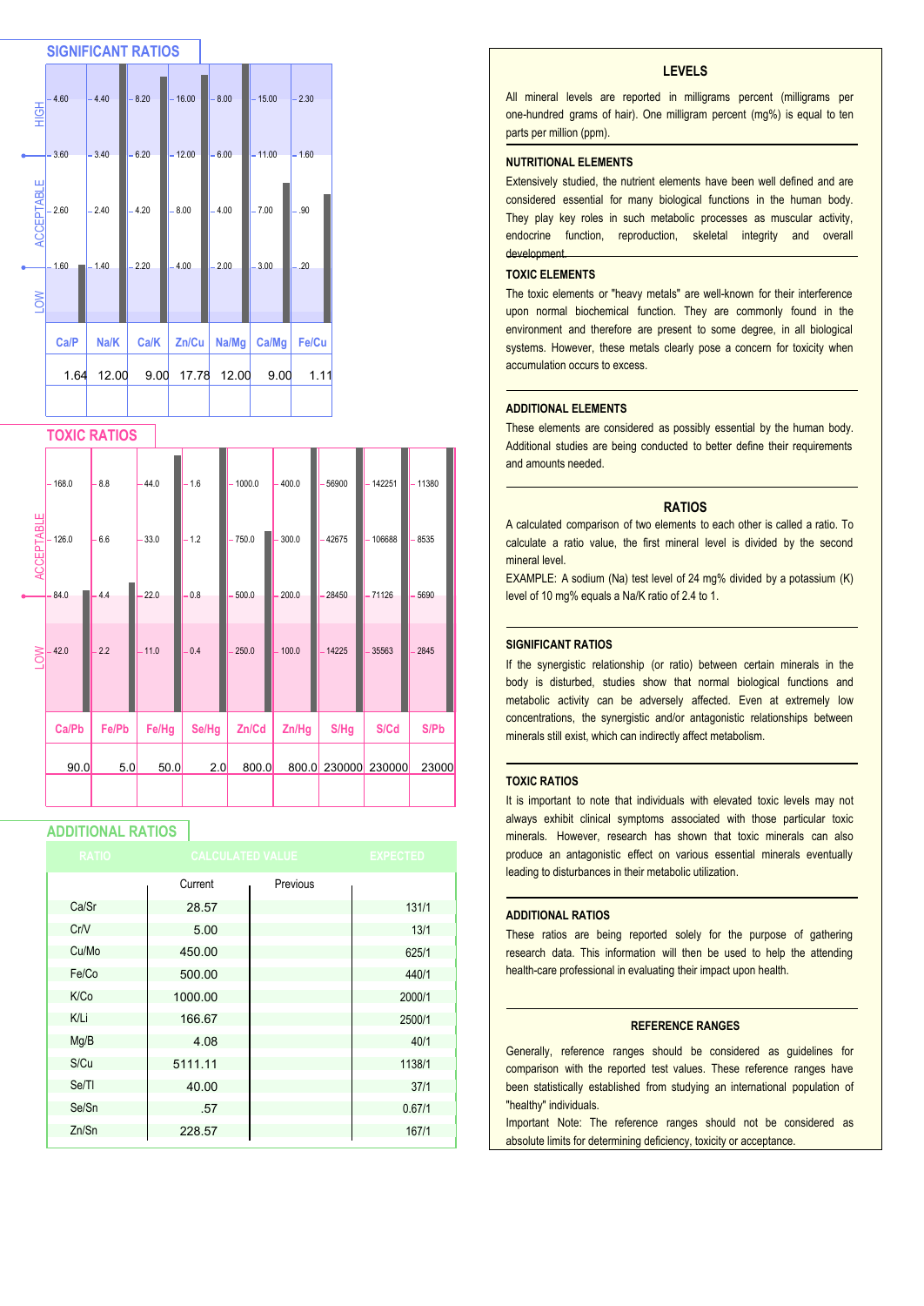

#### **TOXIC RATIOS**

|                   | $-168.0$         | $-8.8$        | $-44.0$      | $-1.6$     | 1000.0            | $-400.0$       | 56900           | 142251          | $-11380$     |
|-------------------|------------------|---------------|--------------|------------|-------------------|----------------|-----------------|-----------------|--------------|
| <b>ACCEPTABLE</b> | 126.0<br>$-84.0$ | $-6.6$<br>4.4 | 33.0<br>22.0 | 1.2<br>0.8 | $-750.0$<br>500.0 | 300.0<br>200.0 | -42675<br>28450 | 106688<br>71126 | 8535<br>5690 |
| LOW               | 42.0             | 2.2           | $-11.0$      | 0.4        | 250.0             | 100.0<br>÷,    | $-14225$        | 35563           | 2845         |
|                   | Ca/Pb            | Fe/Pb         | Fe/Hg        | Se/Hg      | Zn/Cd             | Zn/Hg          | S/Hg            | S/Cd            | S/Pb         |
|                   | 90.0             | 5.0           | 50.0         | 2.0        | 800.0             | 800.0          | 230000          | 230000          | 23000        |
|                   |                  |               |              |            |                   |                |                 |                 |              |

#### **ADDITIONAL RATIOS**

| <b>RATIO</b> |         | <b>CALCULATED VALUE</b> | <b>EXPECTED</b> |
|--------------|---------|-------------------------|-----------------|
|              | Current | Previous                |                 |
| Ca/Sr        | 28.57   |                         | 131/1           |
| Cr/V         | 5.00    |                         | 13/1            |
| Cu/Mo        | 450.00  |                         | 625/1           |
| Fe/Co        | 500.00  |                         | 440/1           |
| K/Co         | 1000.00 |                         | 2000/1          |
| K/Li         | 166.67  |                         | 2500/1          |
| Mg/B         | 4.08    |                         | 40/1            |
| S/Cu         | 5111.11 |                         | 1138/1          |
| Se/TI        | 40.00   |                         | 37/1            |
| Se/Sn        | .57     |                         | 0.67/1          |
| Zn/Sn        | 228.57  |                         | 167/1           |

#### **LEVELS**

All mineral levels are reported in milligrams percent (milligrams per one-hundred grams of hair). One milligram percent (mg%) is equal to ten parts per million (ppm).

#### **NUTRITIONAL ELEMENTS**

Extensively studied, the nutrient elements have been well defined and are considered essential for many biological functions in the human body. They play key roles in such metabolic processes as muscular activity, endocrine function, reproduction, skeletal integrity and overall development.

#### **TOXIC ELEMENTS**

The toxic elements or "heavy metals" are well-known for their interference upon normal biochemical function. They are commonly found in the environment and therefore are present to some degree, in all biological systems. However, these metals clearly pose a concern for toxicity when accumulation occurs to excess.

#### **ADDITIONAL ELEMENTS**

These elements are considered as possibly essential by the human body. Additional studies are being conducted to better define their requirements and amounts needed.

#### **RATIOS**

A calculated comparison of two elements to each other is called a ratio. To calculate a ratio value, the first mineral level is divided by the second mineral level.

EXAMPLE: A sodium (Na) test level of 24 mg% divided by a potassium (K) level of 10 mg% equals a Na/K ratio of 2.4 to 1.

#### **SIGNIFICANT RATIOS**

If the synergistic relationship (or ratio) between certain minerals in the body is disturbed, studies show that normal biological functions and metabolic activity can be adversely affected. Even at extremely low concentrations, the synergistic and/or antagonistic relationships between minerals still exist, which can indirectly affect metabolism.

#### **TOXIC RATIOS**

It is important to note that individuals with elevated toxic levels may not always exhibit clinical symptoms associated with those particular toxic minerals. However, research has shown that toxic minerals can also produce an antagonistic effect on various essential minerals eventually leading to disturbances in their metabolic utilization.

#### **ADDITIONAL RATIOS**

These ratios are being reported solely for the purpose of gathering research data. This information will then be used to help the attending health-care professional in evaluating their impact upon health.

#### **REFERENCE RANGES**

Generally, reference ranges should be considered as guidelines for comparison with the reported test values. These reference ranges have been statistically established from studying an international population of "healthy" individuals.

Important Note: The reference ranges should not be considered as absolute limits for determining deficiency, toxicity or acceptance.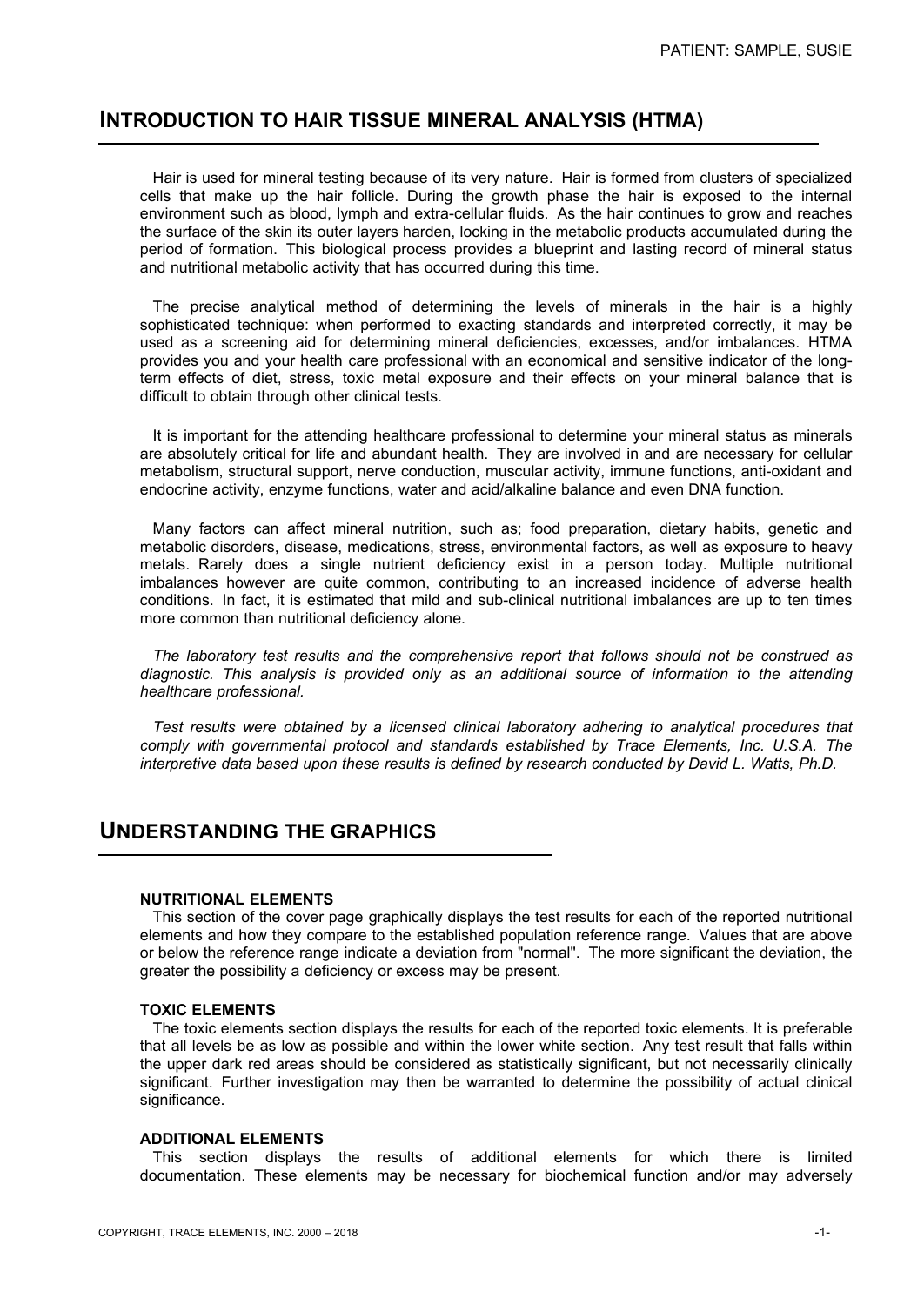# **INTRODUCTION TO HAIR TISSUE MINERAL ANALYSIS (HTMA)**

 Hair is used for mineral testing because of its very nature. Hair is formed from clusters of specialized cells that make up the hair follicle. During the growth phase the hair is exposed to the internal environment such as blood, lymph and extra-cellular fluids. As the hair continues to grow and reaches the surface of the skin its outer layers harden, locking in the metabolic products accumulated during the period of formation. This biological process provides a blueprint and lasting record of mineral status and nutritional metabolic activity that has occurred during this time.

 The precise analytical method of determining the levels of minerals in the hair is a highly sophisticated technique: when performed to exacting standards and interpreted correctly, it may be used as a screening aid for determining mineral deficiencies, excesses, and/or imbalances. HTMA provides you and your health care professional with an economical and sensitive indicator of the longterm effects of diet, stress, toxic metal exposure and their effects on your mineral balance that is difficult to obtain through other clinical tests.

 It is important for the attending healthcare professional to determine your mineral status as minerals are absolutely critical for life and abundant health. They are involved in and are necessary for cellular metabolism, structural support, nerve conduction, muscular activity, immune functions, anti-oxidant and endocrine activity, enzyme functions, water and acid/alkaline balance and even DNA function.

 Many factors can affect mineral nutrition, such as; food preparation, dietary habits, genetic and metabolic disorders, disease, medications, stress, environmental factors, as well as exposure to heavy metals. Rarely does a single nutrient deficiency exist in a person today. Multiple nutritional imbalances however are quite common, contributing to an increased incidence of adverse health conditions. In fact, it is estimated that mild and sub-clinical nutritional imbalances are up to ten times more common than nutritional deficiency alone.

 *The laboratory test results and the comprehensive report that follows should not be construed as diagnostic. This analysis is provided only as an additional source of information to the attending healthcare professional.*

 *Test results were obtained by a licensed clinical laboratory adhering to analytical procedures that comply with governmental protocol and standards established by Trace Elements, Inc. U.S.A. The interpretive data based upon these results is defined by research conducted by David L. Watts, Ph.D.*

# **UNDERSTANDING THE GRAPHICS**

# **NUTRITIONAL ELEMENTS**

 This section of the cover page graphically displays the test results for each of the reported nutritional elements and how they compare to the established population reference range. Values that are above or below the reference range indicate a deviation from "normal". The more significant the deviation, the greater the possibility a deficiency or excess may be present.

#### **TOXIC ELEMENTS**

 The toxic elements section displays the results for each of the reported toxic elements. It is preferable that all levels be as low as possible and within the lower white section. Any test result that falls within the upper dark red areas should be considered as statistically significant, but not necessarily clinically significant. Further investigation may then be warranted to determine the possibility of actual clinical significance.

#### **ADDITIONAL ELEMENTS**

 This section displays the results of additional elements for which there is limited documentation. These elements may be necessary for biochemical function and/or may adversely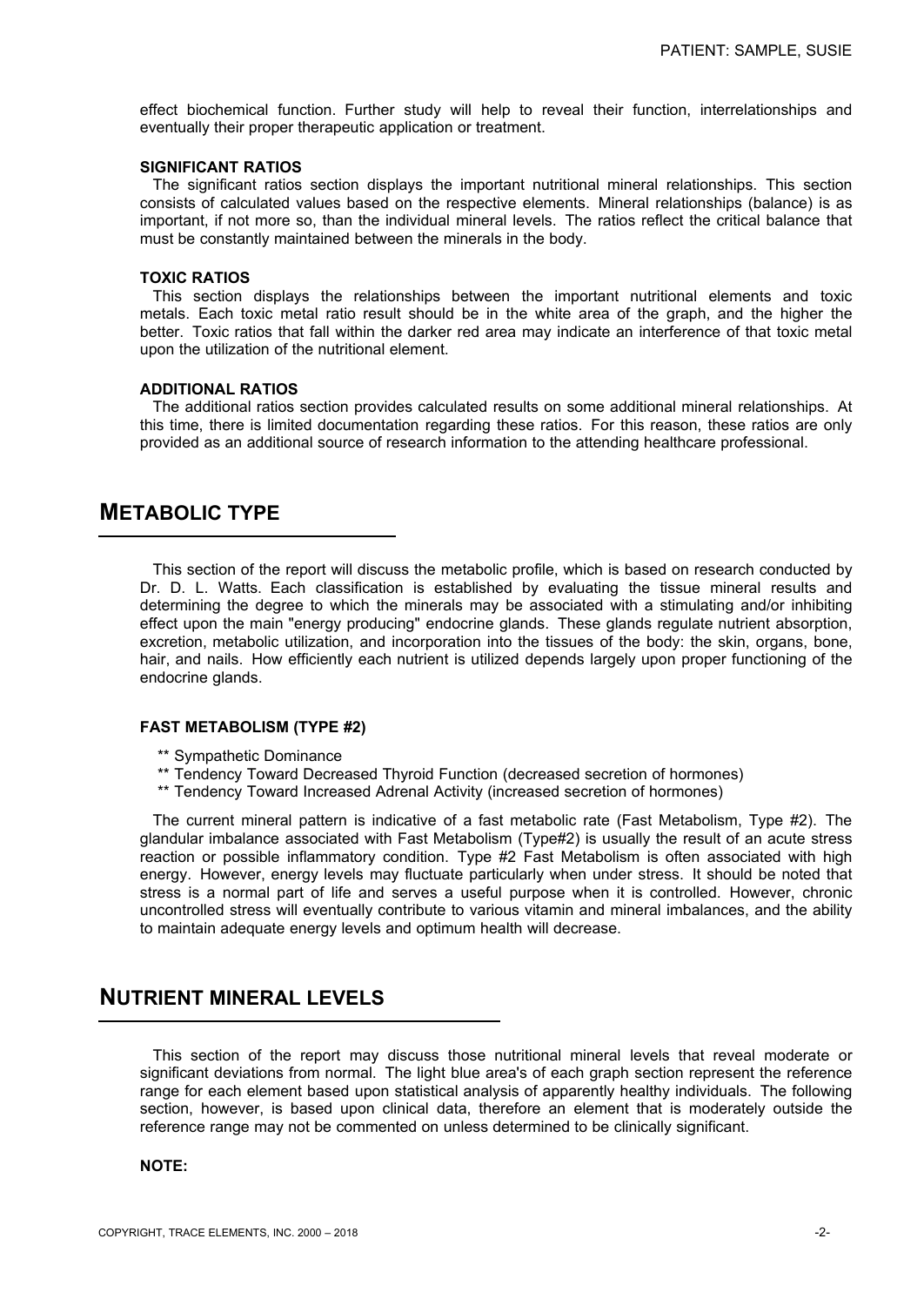effect biochemical function. Further study will help to reveal their function, interrelationships and eventually their proper therapeutic application or treatment.

#### **SIGNIFICANT RATIOS**

 The significant ratios section displays the important nutritional mineral relationships. This section consists of calculated values based on the respective elements. Mineral relationships (balance) is as important, if not more so, than the individual mineral levels. The ratios reflect the critical balance that must be constantly maintained between the minerals in the body.

#### **TOXIC RATIOS**

 This section displays the relationships between the important nutritional elements and toxic metals. Each toxic metal ratio result should be in the white area of the graph, and the higher the better. Toxic ratios that fall within the darker red area may indicate an interference of that toxic metal upon the utilization of the nutritional element.

#### **ADDITIONAL RATIOS**

 The additional ratios section provides calculated results on some additional mineral relationships. At this time, there is limited documentation regarding these ratios. For this reason, these ratios are only provided as an additional source of research information to the attending healthcare professional.

# **METABOLIC TYPE**

 This section of the report will discuss the metabolic profile, which is based on research conducted by Dr. D. L. Watts. Each classification is established by evaluating the tissue mineral results and determining the degree to which the minerals may be associated with a stimulating and/or inhibiting effect upon the main "energy producing" endocrine glands. These glands regulate nutrient absorption, excretion, metabolic utilization, and incorporation into the tissues of the body: the skin, organs, bone, hair, and nails. How efficiently each nutrient is utilized depends largely upon proper functioning of the endocrine glands.

# **FAST METABOLISM (TYPE #2)**

- \*\* Sympathetic Dominance
- \*\* Tendency Toward Decreased Thyroid Function (decreased secretion of hormones)
- \*\* Tendency Toward Increased Adrenal Activity (increased secretion of hormones)

 The current mineral pattern is indicative of a fast metabolic rate (Fast Metabolism, Type #2). The glandular imbalance associated with Fast Metabolism (Type#2) is usually the result of an acute stress reaction or possible inflammatory condition. Type #2 Fast Metabolism is often associated with high energy. However, energy levels may fluctuate particularly when under stress. It should be noted that stress is a normal part of life and serves a useful purpose when it is controlled. However, chronic uncontrolled stress will eventually contribute to various vitamin and mineral imbalances, and the ability to maintain adequate energy levels and optimum health will decrease.

# **NUTRIENT MINERAL LEVELS**

 This section of the report may discuss those nutritional mineral levels that reveal moderate or significant deviations from normal. The light blue area's of each graph section represent the reference range for each element based upon statistical analysis of apparently healthy individuals. The following section, however, is based upon clinical data, therefore an element that is moderately outside the reference range may not be commented on unless determined to be clinically significant.

### **NOTE:**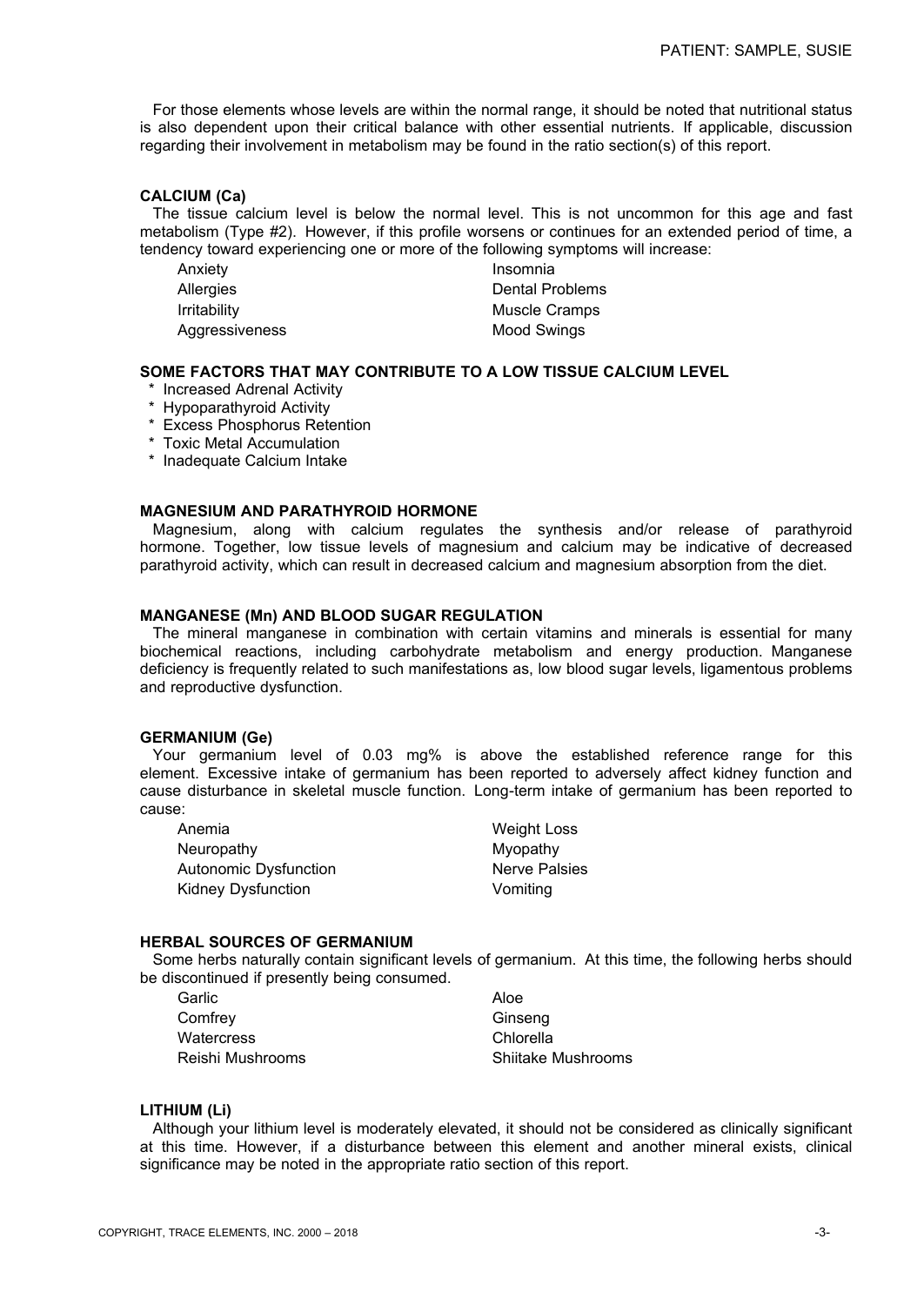For those elements whose levels are within the normal range, it should be noted that nutritional status is also dependent upon their critical balance with other essential nutrients. If applicable, discussion regarding their involvement in metabolism may be found in the ratio section(s) of this report.

# **CALCIUM (Ca)**

 The tissue calcium level is below the normal level. This is not uncommon for this age and fast metabolism (Type #2). However, if this profile worsens or continues for an extended period of time, a tendency toward experiencing one or more of the following symptoms will increase:

| Anxiety          | Insomnia               |
|------------------|------------------------|
| <b>Allergies</b> | <b>Dental Problems</b> |
| Irritability     | Muscle Cramps          |
| Aggressiveness   | Mood Swings            |

## **SOME FACTORS THAT MAY CONTRIBUTE TO A LOW TISSUE CALCIUM LEVEL**

- \* Increased Adrenal Activity
- \* Hypoparathyroid Activity
- \* Excess Phosphorus Retention
- \* Toxic Metal Accumulation
- \* Inadequate Calcium Intake

# **MAGNESIUM AND PARATHYROID HORMONE**

 Magnesium, along with calcium regulates the synthesis and/or release of parathyroid hormone. Together, low tissue levels of magnesium and calcium may be indicative of decreased parathyroid activity, which can result in decreased calcium and magnesium absorption from the diet.

# **MANGANESE (Mn) AND BLOOD SUGAR REGULATION**

 The mineral manganese in combination with certain vitamins and minerals is essential for many biochemical reactions, including carbohydrate metabolism and energy production. Manganese deficiency is frequently related to such manifestations as, low blood sugar levels, ligamentous problems and reproductive dysfunction.

#### **GERMANIUM (Ge)**

 Your germanium level of 0.03 mg% is above the established reference range for this element. Excessive intake of germanium has been reported to adversely affect kidney function and cause disturbance in skeletal muscle function. Long-term intake of germanium has been reported to cause:

| Anemia                       | <b>Weight Loss</b>   |
|------------------------------|----------------------|
| Neuropathy                   | Myopathy             |
| <b>Autonomic Dysfunction</b> | <b>Nerve Palsies</b> |
| <b>Kidney Dysfunction</b>    | Vomiting             |

## **HERBAL SOURCES OF GERMANIUM**

 Some herbs naturally contain significant levels of germanium. At this time, the following herbs should be discontinued if presently being consumed.

| Garlic           | Aloe               |
|------------------|--------------------|
| Comfrey          | Ginseng            |
| Watercress       | Chlorella          |
| Reishi Mushrooms | Shiitake Mushrooms |

## **LITHIUM (Li)**

 Although your lithium level is moderately elevated, it should not be considered as clinically significant at this time. However, if a disturbance between this element and another mineral exists, clinical significance may be noted in the appropriate ratio section of this report.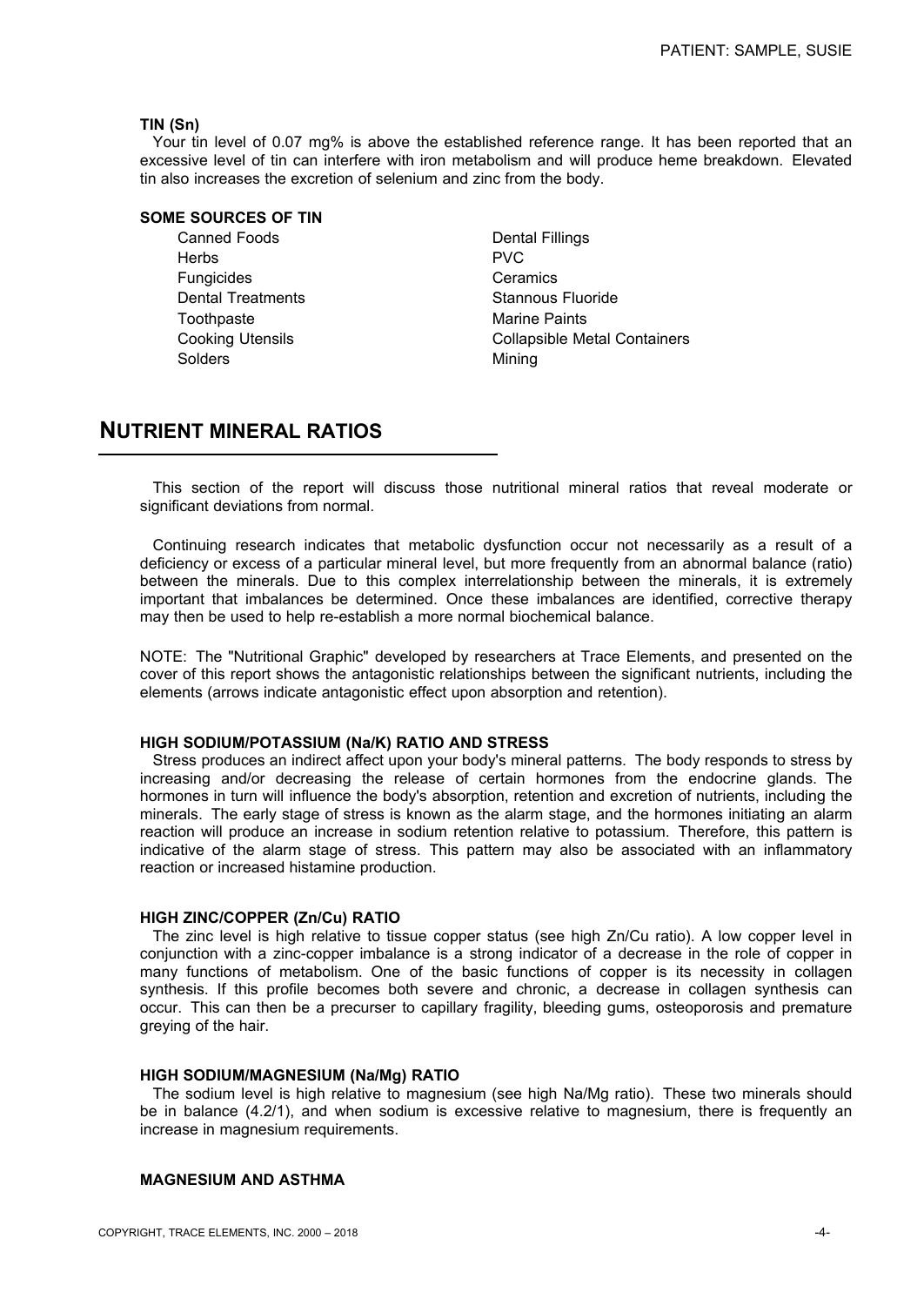# **TIN (Sn)**

 Your tin level of 0.07 mg% is above the established reference range. It has been reported that an excessive level of tin can interfere with iron metabolism and will produce heme breakdown. Elevated tin also increases the excretion of selenium and zinc from the body.

#### **SOME SOURCES OF TIN**

Canned Foods **Dental Fillings**  Herbs PVC Fungicides **Ceramics** Ceramics Dental Treatments **Stannous Fluoride** Toothpaste **Marine Paints** Marine Paints Solders Mining

Cooking Utensils Collapsible Metal Containers

# **NUTRIENT MINERAL RATIOS**

 This section of the report will discuss those nutritional mineral ratios that reveal moderate or significant deviations from normal.

 Continuing research indicates that metabolic dysfunction occur not necessarily as a result of a deficiency or excess of a particular mineral level, but more frequently from an abnormal balance (ratio) between the minerals. Due to this complex interrelationship between the minerals, it is extremely important that imbalances be determined. Once these imbalances are identified, corrective therapy may then be used to help re-establish a more normal biochemical balance.

NOTE: The "Nutritional Graphic" developed by researchers at Trace Elements, and presented on the cover of this report shows the antagonistic relationships between the significant nutrients, including the elements (arrows indicate antagonistic effect upon absorption and retention).

## **HIGH SODIUM/POTASSIUM (Na/K) RATIO AND STRESS**

 Stress produces an indirect affect upon your body's mineral patterns. The body responds to stress by increasing and/or decreasing the release of certain hormones from the endocrine glands. The hormones in turn will influence the body's absorption, retention and excretion of nutrients, including the minerals. The early stage of stress is known as the alarm stage, and the hormones initiating an alarm reaction will produce an increase in sodium retention relative to potassium. Therefore, this pattern is indicative of the alarm stage of stress. This pattern may also be associated with an inflammatory reaction or increased histamine production.

#### **HIGH ZINC/COPPER (Zn/Cu) RATIO**

 The zinc level is high relative to tissue copper status (see high Zn/Cu ratio). A low copper level in conjunction with a zinc-copper imbalance is a strong indicator of a decrease in the role of copper in many functions of metabolism. One of the basic functions of copper is its necessity in collagen synthesis. If this profile becomes both severe and chronic, a decrease in collagen synthesis can occur. This can then be a precurser to capillary fragility, bleeding gums, osteoporosis and premature greying of the hair.

## **HIGH SODIUM/MAGNESIUM (Na/Mg) RATIO**

 The sodium level is high relative to magnesium (see high Na/Mg ratio). These two minerals should be in balance (4.2/1), and when sodium is excessive relative to magnesium, there is frequently an increase in magnesium requirements.

# **MAGNESIUM AND ASTHMA**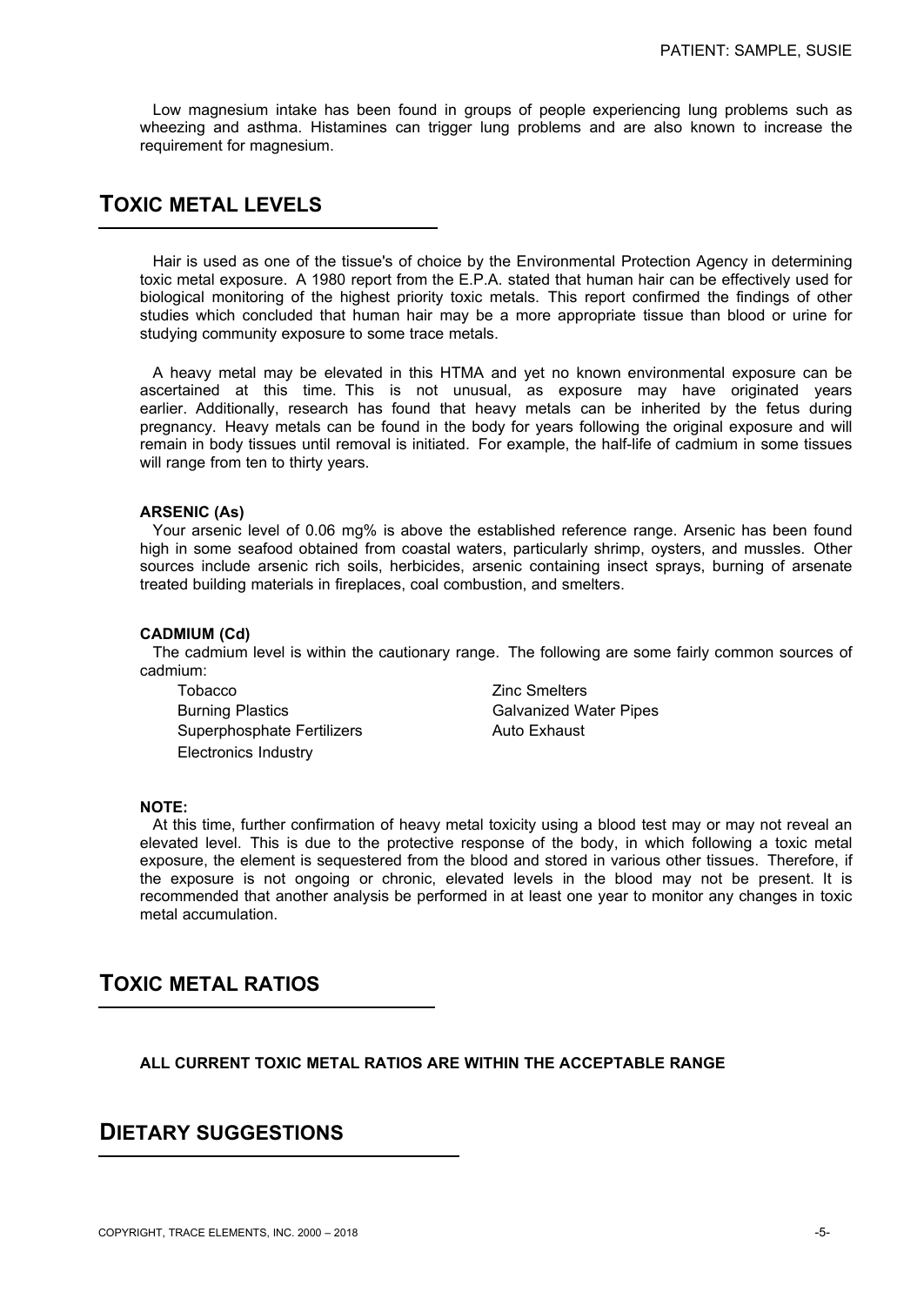Low magnesium intake has been found in groups of people experiencing lung problems such as wheezing and asthma. Histamines can trigger lung problems and are also known to increase the requirement for magnesium.

# **TOXIC METAL LEVELS**

 Hair is used as one of the tissue's of choice by the Environmental Protection Agency in determining toxic metal exposure. A 1980 report from the E.P.A. stated that human hair can be effectively used for biological monitoring of the highest priority toxic metals. This report confirmed the findings of other studies which concluded that human hair may be a more appropriate tissue than blood or urine for studying community exposure to some trace metals.

 A heavy metal may be elevated in this HTMA and yet no known environmental exposure can be ascertained at this time. This is not unusual, as exposure may have originated years earlier. Additionally, research has found that heavy metals can be inherited by the fetus during pregnancy. Heavy metals can be found in the body for years following the original exposure and will remain in body tissues until removal is initiated. For example, the half-life of cadmium in some tissues will range from ten to thirty years.

# **ARSENIC (As)**

 Your arsenic level of 0.06 mg% is above the established reference range. Arsenic has been found high in some seafood obtained from coastal waters, particularly shrimp, oysters, and mussles. Other sources include arsenic rich soils, herbicides, arsenic containing insect sprays, burning of arsenate treated building materials in fireplaces, coal combustion, and smelters.

#### **CADMIUM (Cd)**

 The cadmium level is within the cautionary range. The following are some fairly common sources of cadmium:

Tobacco **Zinc Smelters** Burning Plastics **Galvanized Water Pipes** Superphosphate Fertilizers **Auto Exhaust** Electronics Industry

#### **NOTE:**

 At this time, further confirmation of heavy metal toxicity using a blood test may or may not reveal an elevated level. This is due to the protective response of the body, in which following a toxic metal exposure, the element is sequestered from the blood and stored in various other tissues. Therefore, if the exposure is not ongoing or chronic, elevated levels in the blood may not be present. It is recommended that another analysis be performed in at least one year to monitor any changes in toxic metal accumulation.

# **TOXIC METAL RATIOS**

**ALL CURRENT TOXIC METAL RATIOS ARE WITHIN THE ACCEPTABLE RANGE**

# **DIETARY SUGGESTIONS**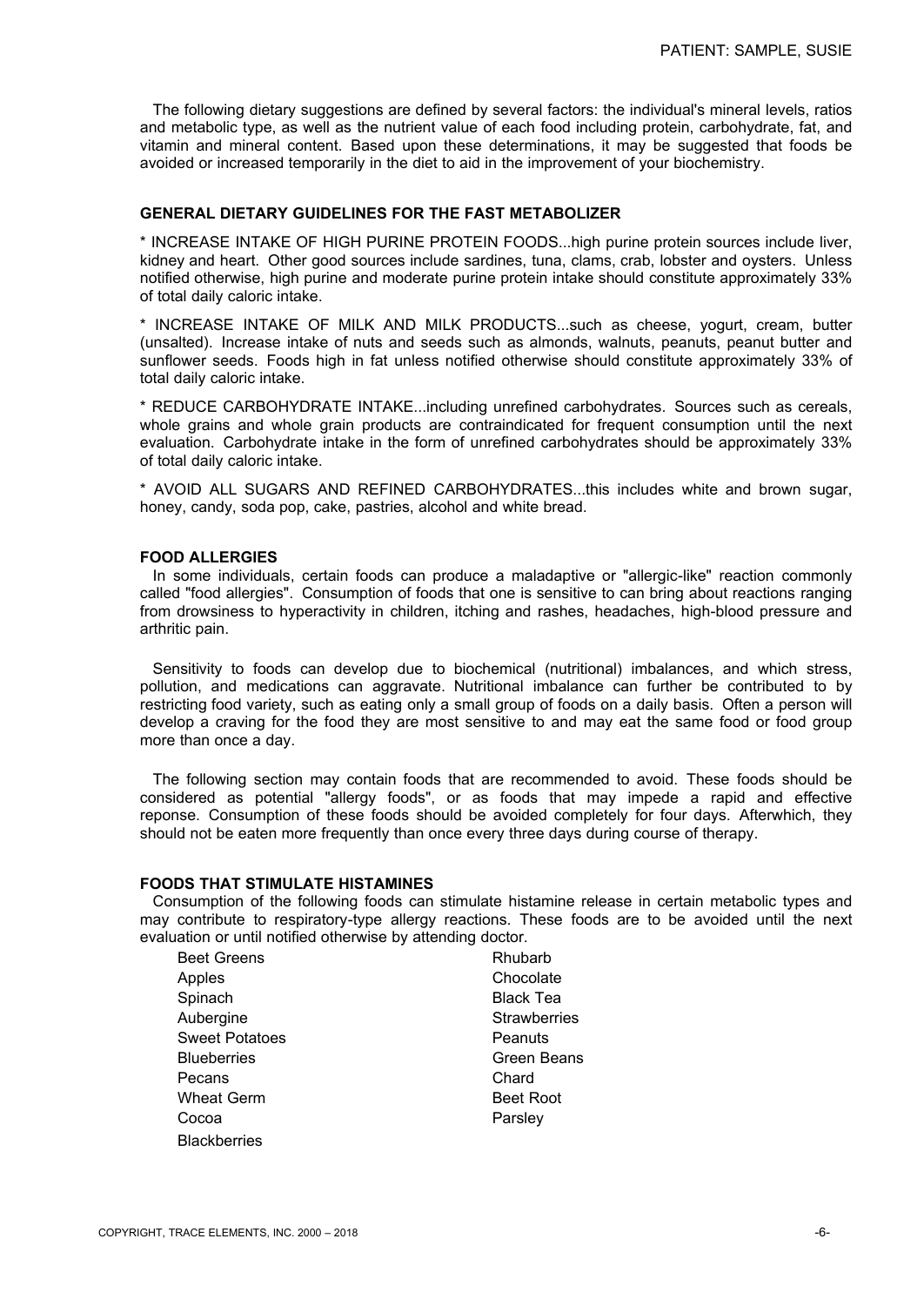The following dietary suggestions are defined by several factors: the individual's mineral levels, ratios and metabolic type, as well as the nutrient value of each food including protein, carbohydrate, fat, and vitamin and mineral content. Based upon these determinations, it may be suggested that foods be avoided or increased temporarily in the diet to aid in the improvement of your biochemistry.

# **GENERAL DIETARY GUIDELINES FOR THE FAST METABOLIZER**

\* INCREASE INTAKE OF HIGH PURINE PROTEIN FOODS...high purine protein sources include liver, kidney and heart. Other good sources include sardines, tuna, clams, crab, lobster and oysters. Unless notified otherwise, high purine and moderate purine protein intake should constitute approximately 33% of total daily caloric intake.

\* INCREASE INTAKE OF MILK AND MILK PRODUCTS...such as cheese, yogurt, cream, butter (unsalted). Increase intake of nuts and seeds such as almonds, walnuts, peanuts, peanut butter and sunflower seeds. Foods high in fat unless notified otherwise should constitute approximately 33% of total daily caloric intake.

\* REDUCE CARBOHYDRATE INTAKE...including unrefined carbohydrates. Sources such as cereals, whole grains and whole grain products are contraindicated for frequent consumption until the next evaluation. Carbohydrate intake in the form of unrefined carbohydrates should be approximately 33% of total daily caloric intake.

\* AVOID ALL SUGARS AND REFINED CARBOHYDRATES...this includes white and brown sugar, honey, candy, soda pop, cake, pastries, alcohol and white bread.

#### **FOOD ALLERGIES**

 In some individuals, certain foods can produce a maladaptive or "allergic-like" reaction commonly called "food allergies". Consumption of foods that one is sensitive to can bring about reactions ranging from drowsiness to hyperactivity in children, itching and rashes, headaches, high-blood pressure and arthritic pain.

 Sensitivity to foods can develop due to biochemical (nutritional) imbalances, and which stress, pollution, and medications can aggravate. Nutritional imbalance can further be contributed to by restricting food variety, such as eating only a small group of foods on a daily basis. Often a person will develop a craving for the food they are most sensitive to and may eat the same food or food group more than once a day.

 The following section may contain foods that are recommended to avoid. These foods should be considered as potential "allergy foods", or as foods that may impede a rapid and effective reponse. Consumption of these foods should be avoided completely for four days. Afterwhich, they should not be eaten more frequently than once every three days during course of therapy.

### **FOODS THAT STIMULATE HISTAMINES**

 Consumption of the following foods can stimulate histamine release in certain metabolic types and may contribute to respiratory-type allergy reactions. These foods are to be avoided until the next evaluation or until notified otherwise by attending doctor.

| <b>Beet Greens</b>    | Rhubarb             |
|-----------------------|---------------------|
| Apples                | Chocolate           |
| Spinach               | <b>Black Tea</b>    |
| Aubergine             | <b>Strawberries</b> |
| <b>Sweet Potatoes</b> | Peanuts             |
| <b>Blueberries</b>    | Green Beans         |
| Pecans                | Chard               |
| <b>Wheat Germ</b>     | <b>Beet Root</b>    |
| Cocoa                 | Parsley             |
| <b>Blackberries</b>   |                     |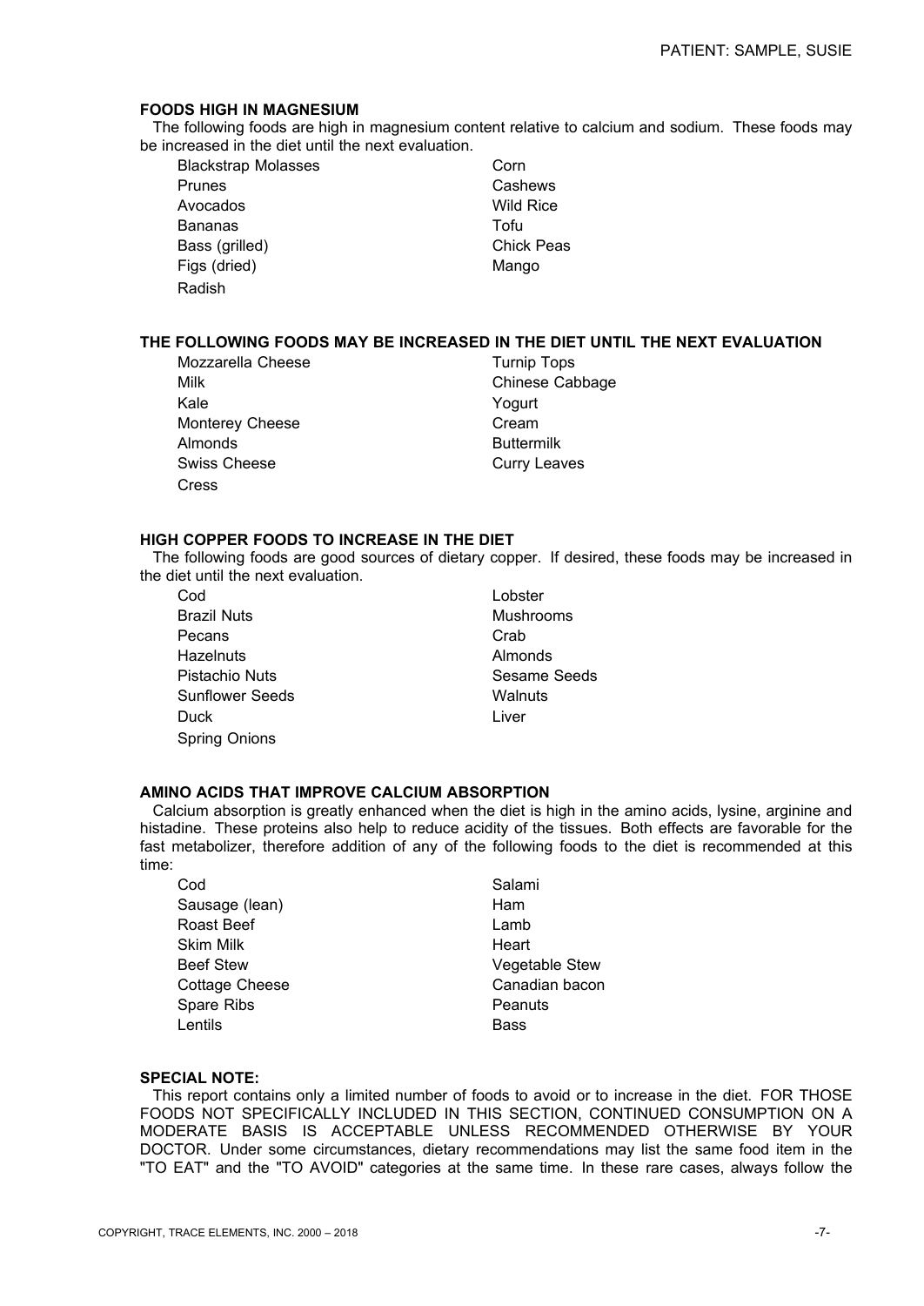## **FOODS HIGH IN MAGNESIUM**

 The following foods are high in magnesium content relative to calcium and sodium. These foods may be increased in the diet until the next evaluation.

Blackstrap Molasses Corn Prunes **Cashews**  Avocados Wild Rice Bananas Tofu Bass (grilled) **Chick Peas** Figs (dried) Mango Radish

# **THE FOLLOWING FOODS MAY BE INCREASED IN THE DIET UNTIL THE NEXT EVALUATION**

Mozzarella Cheese Turnip Tops Milk Chinese Cabbage Kale Yogurt Monterey Cheese **Cream** Almonds Buttermilk Swiss Cheese Curry Leaves Cress

# **HIGH COPPER FOODS TO INCREASE IN THE DIET**

 The following foods are good sources of dietary copper. If desired, these foods may be increased in the diet until the next evaluation.

- Cod Lobster Brazil Nuts Mushrooms Pecans Crab Hazelnuts Almonds Pistachio Nuts **Sesame Seeds** Sunflower Seeds Walnuts **Duck Liver** Spring Onions
- 

# **AMINO ACIDS THAT IMPROVE CALCIUM ABSORPTION**

 Calcium absorption is greatly enhanced when the diet is high in the amino acids, lysine, arginine and histadine. These proteins also help to reduce acidity of the tissues. Both effects are favorable for the fast metabolizer, therefore addition of any of the following foods to the diet is recommended at this time:

| Cod                   | Salami                |
|-----------------------|-----------------------|
| Sausage (lean)        | Ham                   |
| Roast Beef            | Lamb                  |
| <b>Skim Milk</b>      | Heart                 |
| <b>Beef Stew</b>      | <b>Vegetable Stew</b> |
| <b>Cottage Cheese</b> | Canadian bacon        |
| Spare Ribs            | Peanuts               |
| Lentils               | <b>Bass</b>           |
|                       |                       |

### **SPECIAL NOTE:**

 This report contains only a limited number of foods to avoid or to increase in the diet. FOR THOSE FOODS NOT SPECIFICALLY INCLUDED IN THIS SECTION, CONTINUED CONSUMPTION ON A MODERATE BASIS IS ACCEPTABLE UNLESS RECOMMENDED OTHERWISE BY YOUR DOCTOR. Under some circumstances, dietary recommendations may list the same food item in the "TO EAT" and the "TO AVOID" categories at the same time. In these rare cases, always follow the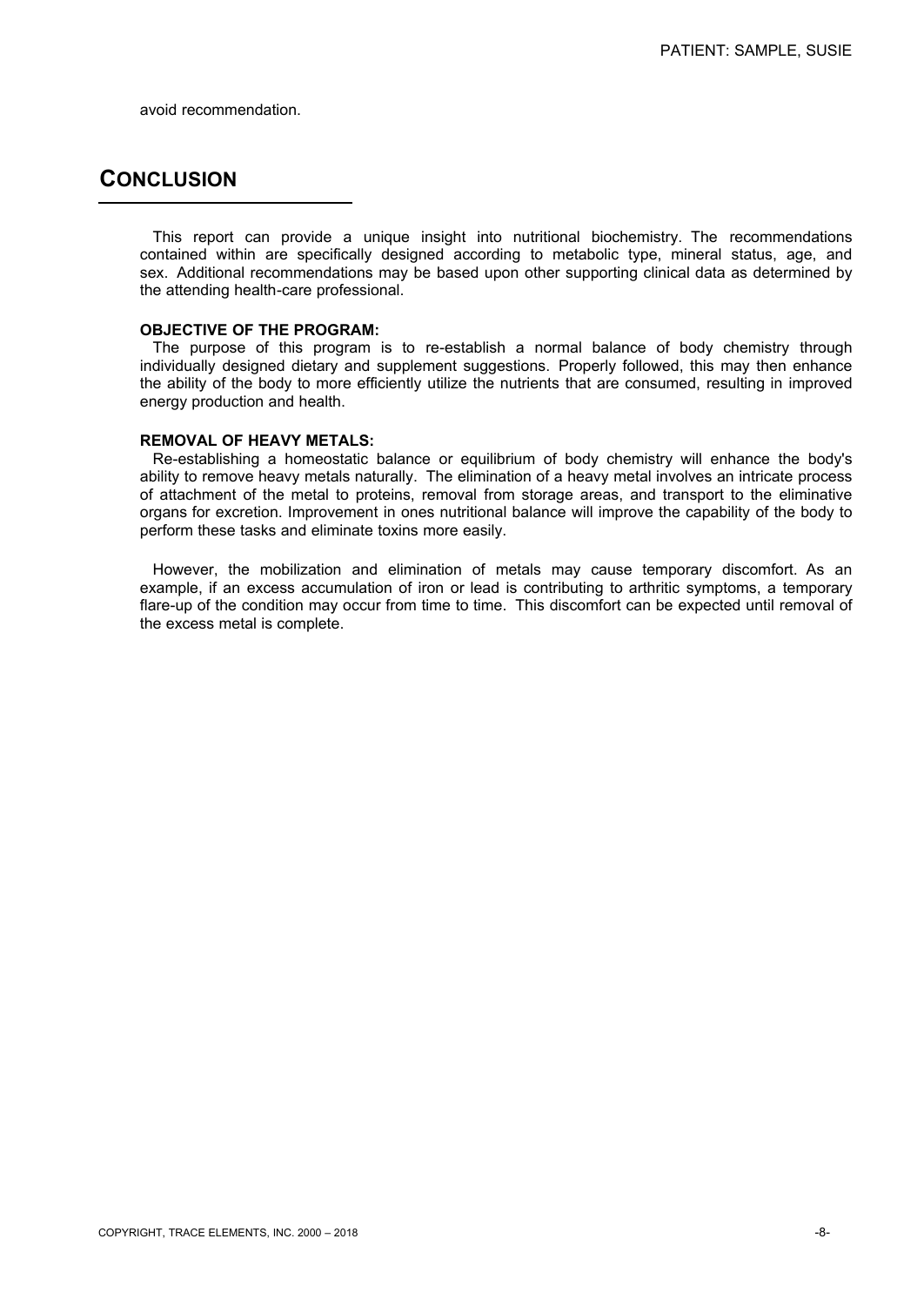avoid recommendation.

# **CONCLUSION**

 This report can provide a unique insight into nutritional biochemistry. The recommendations contained within are specifically designed according to metabolic type, mineral status, age, and sex. Additional recommendations may be based upon other supporting clinical data as determined by the attending health-care professional.

# **OBJECTIVE OF THE PROGRAM:**

 The purpose of this program is to re-establish a normal balance of body chemistry through individually designed dietary and supplement suggestions. Properly followed, this may then enhance the ability of the body to more efficiently utilize the nutrients that are consumed, resulting in improved energy production and health.

### **REMOVAL OF HEAVY METALS:**

 Re-establishing a homeostatic balance or equilibrium of body chemistry will enhance the body's ability to remove heavy metals naturally. The elimination of a heavy metal involves an intricate process of attachment of the metal to proteins, removal from storage areas, and transport to the eliminative organs for excretion. Improvement in ones nutritional balance will improve the capability of the body to perform these tasks and eliminate toxins more easily.

 However, the mobilization and elimination of metals may cause temporary discomfort. As an example, if an excess accumulation of iron or lead is contributing to arthritic symptoms, a temporary flare-up of the condition may occur from time to time. This discomfort can be expected until removal of the excess metal is complete.